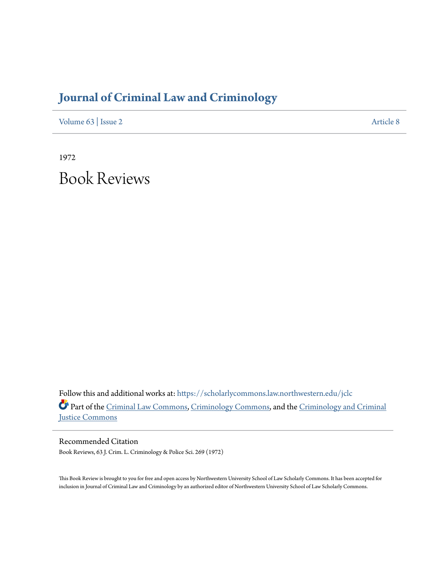## **[Journal of Criminal Law and Criminology](https://scholarlycommons.law.northwestern.edu/jclc?utm_source=scholarlycommons.law.northwestern.edu%2Fjclc%2Fvol63%2Fiss2%2F8&utm_medium=PDF&utm_campaign=PDFCoverPages)**

[Volume 63](https://scholarlycommons.law.northwestern.edu/jclc/vol63?utm_source=scholarlycommons.law.northwestern.edu%2Fjclc%2Fvol63%2Fiss2%2F8&utm_medium=PDF&utm_campaign=PDFCoverPages) | [Issue 2](https://scholarlycommons.law.northwestern.edu/jclc/vol63/iss2?utm_source=scholarlycommons.law.northwestern.edu%2Fjclc%2Fvol63%2Fiss2%2F8&utm_medium=PDF&utm_campaign=PDFCoverPages) [Article 8](https://scholarlycommons.law.northwestern.edu/jclc/vol63/iss2/8?utm_source=scholarlycommons.law.northwestern.edu%2Fjclc%2Fvol63%2Fiss2%2F8&utm_medium=PDF&utm_campaign=PDFCoverPages)

1972 Book Reviews

Follow this and additional works at: [https://scholarlycommons.law.northwestern.edu/jclc](https://scholarlycommons.law.northwestern.edu/jclc?utm_source=scholarlycommons.law.northwestern.edu%2Fjclc%2Fvol63%2Fiss2%2F8&utm_medium=PDF&utm_campaign=PDFCoverPages) Part of the [Criminal Law Commons](http://network.bepress.com/hgg/discipline/912?utm_source=scholarlycommons.law.northwestern.edu%2Fjclc%2Fvol63%2Fiss2%2F8&utm_medium=PDF&utm_campaign=PDFCoverPages), [Criminology Commons](http://network.bepress.com/hgg/discipline/417?utm_source=scholarlycommons.law.northwestern.edu%2Fjclc%2Fvol63%2Fiss2%2F8&utm_medium=PDF&utm_campaign=PDFCoverPages), and the [Criminology and Criminal](http://network.bepress.com/hgg/discipline/367?utm_source=scholarlycommons.law.northwestern.edu%2Fjclc%2Fvol63%2Fiss2%2F8&utm_medium=PDF&utm_campaign=PDFCoverPages) [Justice Commons](http://network.bepress.com/hgg/discipline/367?utm_source=scholarlycommons.law.northwestern.edu%2Fjclc%2Fvol63%2Fiss2%2F8&utm_medium=PDF&utm_campaign=PDFCoverPages)

Recommended Citation Book Reviews, 63 J. Crim. L. Criminology & Police Sci. 269 (1972)

This Book Review is brought to you for free and open access by Northwestern University School of Law Scholarly Commons. It has been accepted for inclusion in Journal of Criminal Law and Criminology by an authorized editor of Northwestern University School of Law Scholarly Commons.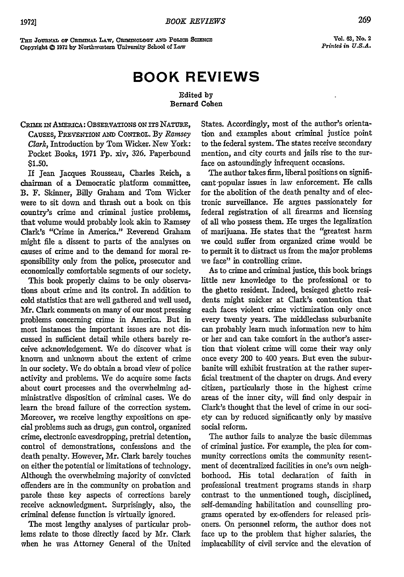**TmI JoumeAL Or** *CRmINAL* **LAw,** *CmNoLoGy* **AwD Poiac ScINCE Copyright 0 1972 by Northwestern University School of Law**

**Vol. 63, No. 2** *Printed in U.S.A.*

## **BOOK REVIEWS**

## Edited **by** Bernard Cohen

CRIME IN AMERICA: OBSERVATIONS ON ITS NATURE, **CAUSES,** PREVENTION **AND CONTROL.** By *Ramsey Clark,* Introduction by Tom Wicker. New York: Pocket Books, 1971 **Pp.** xiv, 326. Paperbound **\$1.50.**

If Jean Jacques Rousseau, Charles Reich, a chairman of a Democratic platform committee, B. F. Skinner, Billy Graham and Tom Wicker were to sit down and thrash out a book on this country's crime and criminal justice problems, that volume would probably look akin to Ramsey Clark's "Crime in America," Reverend Graham might file a dissent to parts of the analyses on causes of crime and to the demand for moral responsibility only from the police, prosecutor and economically comfortable segments of our society.

This book properly claims to be only observations about crime and its control. In addition to cold statistics that are well gathered and well used, Mr. Clark comments on many of our most pressing problems concerning crime in America. But in most instances the important issues are not discussed in sufficient detail while others barely receive acknowledgement. We do discover what is known and unknown about the extent of crime in our society. We do obtain a broad view of police activity and problems. We do acquire some facts about court processes and the overwhelming administrative disposition of criminal cases. We do learn the broad failure of the correction system. Moreover, we receive lengthy expositions on special problems such as drugs, gun control, organized crime, electronic eavesdropping, pretrial detention, control of demonstrations, confessions and the death penalty. However, Mr. Clark barely touches on either the potential or limitations of technology. Although the overwhelming majority of convicted offenders are in the community on probation and parole these key aspects of corrections barely receive acknowledgment. Surprisingly, also, the criminal defense function is virtually ignored.

The most lengthy analyses of particular problems relate to those directly faced by Mr. Clark when he was Attorney General of the United States. Accordingly, most of the author's orientation and examples about criminal justice point to the federal system. The states receive secondary mention, and city courts and jails rise to the surface on astoundingly infrequent occasions.

The author takes firm, liberal positions on significant-popular issues in law enforcement. He calls for the abolition of the death penalty and of electronic surveillance. He argues passionately for federal registration of all firearms and licensing of all who possess them. He urges the legalization of marijuana. He states that the "greatest harm we could suffer from organized crime would be to permit it to distract us from the major problems we face" in controlling crime.

As to crime and criminal justice, this book brings little new knowledge to the professional or to the ghetto resident. Indeed, besieged ghetto residents might snicker at Clark's contention that each faces violent crime victimization only once every twenty years. The middleclass suburbanite can probably learn much information new to him or her and can take comfort in the author's assertion that violent crime will come their way only once every 200 to 400 years. But even the suburbanite will exhibit frustration at the rather superficial treatment of the chapter on drugs. And every citizen, particularly those in the highest crime areas of the inner city, will find only despair in Clark's thought that the level of crime in our society can by reduced significantly only by massive social reform.

The author fails to analyze the basic dilemmas of criminal justice. For example, the plea for community corrections omits the community resentment of decentralized facilities in one's own neighborhood. His total declaration of faith in professional treatment programs stands in sharp contrast to the unmentioned tough, disciplined, self-demanding habilitation and counselling programs operated by ex-offenders for released prisoners. On personnel reform, the author does not face up to the problem that higher salaries, the implacability of civil service and the elevation of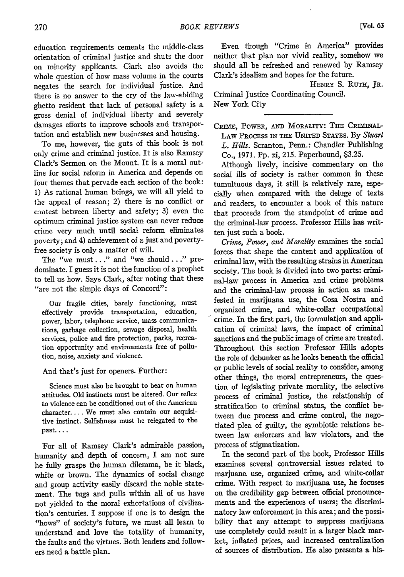New York City

education requirements cements the middle-class orientation of criminal justice and shuts the door on minority applicants. Clark also avoids the whole question of how mass volume in the courts negates the search for individual justice. And there is no answer to the cry of the law-abiding ghetto resident that lack of personal safety is a gross denial of individual liberty and severely damages efforts to improve schools and transportation and establish new businesses and housing.

To me, however, the guts of this book is not only crime and criminal justice. It is also Ramsey Clark's Sermon on the Mount. It is a moral outline for social reform in America and depends on four themes that pervade each section of the book: **1)** As rational human beings, we will all yield to the appeal of reason; 2) there is no conflict or contest between liberty and safety; 3) even the optimum criminal justice system can never reduce crime very much until social reform eliminates poverty; and 4) achievement of a just and povertyfree society is only a matter of will.

The "we must..." and "we should..." predominate. I guess it is not the function of a prophet to tell us how. Says Clark, after noting that these ''are not the simple days of Concord":

Our fragile cities, barely functioning, must effectively provide transportation, education, power, labor, telephone service, mass communications, garbage collection, sewage disposal, health services, police and fire protection, parks, recreation opportunity and environments free of pollution, noise, anxiety and violence.

## And that's just for openers. Further:

Science must also be brought to bear on human attitudes. Old instincts must be altered. Our reflex to violence can be conditioned out of the American character.... We must also contain our acquisitive instinct. Selfishness must be relegated to the past....

For all of Ramsey Clark's admirable passion, humanity and depth of concern, I am not sure he fully grasps the human dilemma, be it black, white or brown. The dynamics of social change and group activity easily discard the noble statement. The tugs and pulls within all of us have not yielded to the moral exhortations of civilization's centuries. I suppose if one is to design the "hows" of society's future, we must all learn to understand and love the totality of humanity, the faults and the virtues. Both leaders and followers need a battle plan.

Even though "Crime in America" provides neither that plan nor vivid reality, somehow we should all be refreshed and renewed by Ramsey Clark's idealism and hopes for the future.

HENRY S. RuTH, JR. Criminal Justice Coordinating Council.

CRIME, POWER, AND MORALITY: THE CRIMINAL-LAW PRocEss IN **THE** UNITED STATES. By *Stuart L. Hills.* Scranton, Penn.: Chandler Publishing Co., 1971. Pp. xi, 215. Paperbound, \$3.25.

Although lively, incisive commentary on the social ills of society is rather common in these tumultuous days, it still is relatively rare, especially when compared with the deluge of texts and readers, to encounter a book of this nature that proceeds from the standpoint of crime and the criminal-law process. Professor Hills has written just such a book.

*Crime, Power, and Morality* examines the social forces that shape the content and application of criminal law, with the resulting strains in American society. The book is divided into two parts: criminal-law process in America and crime problems and the criminal-law process in action as manifested in marijuana use, the Cosa Nostra and organized crime, and white-collar occupational crime. In the first part, the formulation and application of criminal laws, the impact of criminal sanctions and the public image of crime are treated. Throughout this section Professor Hills adopts the role of debunker as he looks beneath the official or public levels of social reality to consider, among other things, the moral entrepreneurs, the question of legislating private morality, the selective process of criminal justice, the relationship of stratification to criminal status, the conflict between due process and crime control, the negotiated plea of guilty, the symbiotic relations between law enforcers and law violators, and the process of stigmatization.

In the second part of the book, Professor Hills examines several controversial issues related to marjuana use, organized crime, and white-collar crime. With respect to marijuana use, he focuses on the credibility gap between official pronouncements and the experiences of users; the discriminatory law enforcement in this area; and the possibility that any attempt to suppress marijuana use completely could result in a larger black market, inflated prices, and increased centralization of sources of distribution. He also presents a his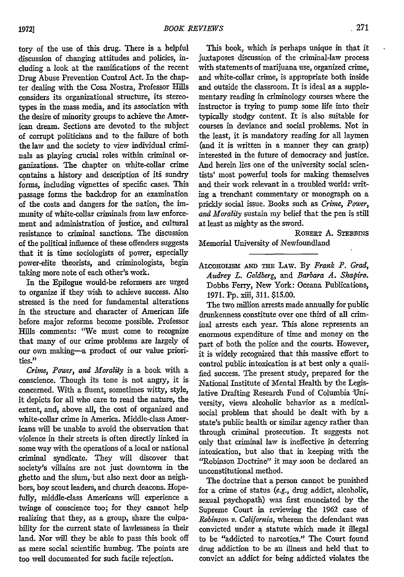tory of the use of this drug. There is a helpful discussion of changing attitudes and policies, including a look at the ramifications of the recent Drug Abuse Prevention Control Act. In the chapter dealing with the Cosa Nostra, Professor Hills considers its organizational structure, its stereotypes in the mass media, and its association with the desire of minority groups to achieve the American dream. Sections are devoted to the subject of corrupt politicians and to the failure of both the law and the society to view individual criminals as playing crucial roles within criminal organizations. The chapter on white-collar crime contains a history and description of its sundry forms, including vignettes of specific cases. This passage forms the backdrop for an examination of the costs and dangers for the nation, the immunity of white-collar criminals from law enforcement and administration of justice, and cultural resistance to criminal sanctions. The discussion of the political influence of these offenders suggests that it is time sociologists of power, especially power-elite theorists, and criminologists, begin taking more note of each other's work.

In the Epilogue would-be reformers are urged to organize if they wish to achieve success. Also stressed is the need for fundamental alterations in the structure and character of American life before major reforms become possible. Professor Hills comments: "We must come to recognize that many of our crime problems are largely of our own making--a product of our value priorities."

*Crime, Power, and Morality* is a book with a conscience. Though its tone is not angry, it is concerned. With a fluent, sometimes witty, style, it depicts for all who care to read the nature, the extent, and, above all, the cost of organized and white-collar crime in America. Middle-class Americans will be unable to avoid the observation that violence in their streets is often directly linked in some way with the operations of a local or national criminal syndicate. They will discover that society's villains are not just downtown in the ghetto and the slum, -but also next door as neighbors, boy scout leaders, and church deacons. Hopefully, middle-class Americans will experience a twinge of conscience too; for they cannot help realizing that they, as a group, share the culpability for the current state of lawlessness in their land. Nor will they be able to pass this book off as mere social scientific humbug. The points are too well documented for such facile rejection.

This book, which is perhaps unique in that it juxtaposes discussion of the criminal-law process with statements of marijuana use, organized crime, and white-collar crime, is appropriate both inside and outside the classroom. It is ideal as a supplementary reading in criminology courses where the instructor is trying to pump some life into their typically stodgy content. It is also suitable for courses in deviance and social problems. Not in the least, it is mandatory reading for all laymen (and it is written in a manner they can grasp) interested in the future of democracy and justice. And herein lies one of the university social scientists' most powerful tools for making themselves and their work relevant in a troubled world: writing a trenchant commentary or monograph on a prickly social issue. Books such as *Crime, Power, and Morality* sustain my belief that the pen is still at least as mighty as the sword.

ROBERT A. STEBBINS Memorial University of Newfoundland

ALCOHOLISM AND THE LAW. By *Frank P. Grad*, *Audrey L. Goldberg, and Barbara A. Shapiro.* Dobbs Ferry, New York: Oceana Publications, 1971. **Pp.** xiii, 311. \$15.00.

The two million arrests made annually for public drunkenness constitute over one third of all criminal arrests each year. This alone represents an enormous expenditure of time and money on the part of both the police and the courts. However, it is widely recognized that this massive effort to control public intoxication is at best only a qualified success. The present study, prepared for the National Institute of Mental Health by the Legislative Drafting Research Fund of Columbia University, views alcoholic behavior as a medicalsocial problem that should be dealt with by a state's public health or similar agency rather than through criminal prosecution. It suggests not only that criminal law is ineffective in deterring intoxication, but also that in keeping with the "Robinson Doctrine" it may soon be declared an unconstitutional method.

The doctrine that a person cannot be punished for a crime of status *(e.g.,* drug addict, alcoholic, sexual psychopath) was first enunciated **by** the Supreme Court in reviewing the 1962 case of *Robinson v. California*, wherem the defendant was convicted under a statute which made it illegal to be "addicted to narcotics." The Court found drug addiction to be an illness and held that to convict an addict for being addicted violates the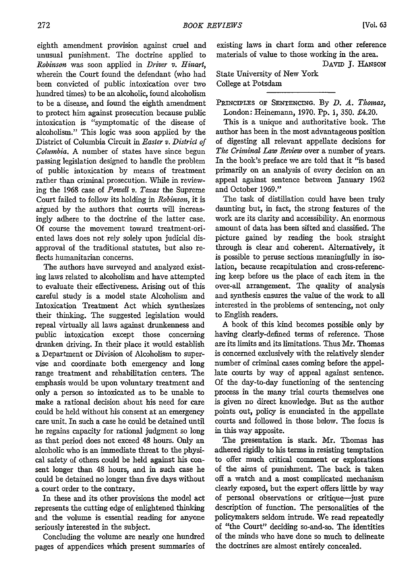eighth amendment provision against cruel and unusual punishment. The doctrine applied to *Robinson* was soon applied in *Driver v. Hinart,* wherein the Court found the defendant (who had been convicted of public intoxication over two hundred times) to be an alcoholic, found alcoholism to be a disease, and found the eighth amendment to protect him against prosecution because public intoxication is "symptomatic of the disease of alcoholism." This logic was soon applied by the District of Columbia Circuit in *Easter v. District of Columbia.* A number of states have since begun passing legislation designed to handle the problem of public intoxication by means of treatment rather than criminal prosecution. While in reviewing the 1968 case of *Powell v. Texas* the Supreme Court failed to follow its holding in *Robinson,* it is argued by the authors that courts will increasingly adhere to the doctrine of the latter case. Of course the movement toward treatment-oriented laws does not rely solely upon judicial disapproval of the traditional statutes, but also reflects humanitarian concerns.

The authors have surveyed and analyzed existing laws related to alcoholism and have attempted to evaluate their effectiveness. Arising out of this careful study is a model state Alcoholism and Intoxication Treatment Act which synthesizes their thinking. The suggested legislation would repeal virtually all laws against drunkenness and public intoxication except those concerning drunken driving. In their place it would establish a Department or Division of Alcoholism to supervise and coordinate both emergency and long range treatment and rehabilitation centers. The emphasis would be upon voluntary treatment and only a person so intoxicated as to be unable to make a rational decision about his need for care could be held without his consent at an emergency care unit. In such a case he could be detained until he regains capacity for rational judgment so long as that period does not exceed 48 hours. Only an alcoholic who is an immediate threat to the physical safety of others could be held against his consent longer than 48 hours, and in such case he could be detained no longer than five days without a court order to the contrary.

In these and its other provisions the model act represents the cutting edge of enlightened thinking and the volume is essential reading for anyone seriously interested in the subject.

Concluding the volume are nearly one hundred pages of appendices which present summaries of

existing laws in chart form and other reference materials of value to those working in the area. DAVID J. HANSON

State University of New York College at Potsdam

PRINCIPLES OF SENTENCING. By *D. A. Thomas*, London: Heinemann, 1970. Pp. **1,** 350. £4.20.

This is a unique and authoritative book. The author has been in the most advantageous position of digesting all relevant appellate decisions for *The Criminal Law Review* over a number of years. In the book's preface we are told that it "is based primarily on an analysis of every decision on an appeal against sentence between January 1962 and October 1969."

The task of distillation could have been truly daunting but, in fact, the strong features of the work are its clarity and accessibility. An enormous amount of data has been sifted and classified. The picture gained by reading the book straight through is clear and coherent. Alternatively, it is possible to peruse sections meaningfully in isolation, because recapitulation and cross-referencing keep before us the place of each item in the over-all arrangement. The quality of analysis and synthesis ensures the value of the work to all interested in the problems of sentencing, not only to English readers.

A book of this kind becomes possible only by having dearly-defined terms of reference. Those are its limits and its limitations. Thus Mr. Thomas is concerned exclusively with the relatively slender number of criminal cases coming before the appellate courts by way of appeal against sentence. Of the day-to-day functioning of the sentencing process in the many trial courts themselves one is given no direct knowledge. But as the author points out, policy is enunciated in the appellate courts and followed in those below. The focus is in this way apposite.

The presentation is stark. Mr. Thomas has adhered rigidly to his terms in resisting temptation to offer much critical comment or explorations of the aims of punishment. The back is taken off a watch and a most complicated mechanism clearly exposed, but the expert offers little by way of personal observations or critique--just pure description of function. The personalities of the policymakers seldom intrude. We read repeatedly of "the Court" deciding so-and-so. The identities of the minds who have done so much to delineate the doctrines are almost entirely concealed.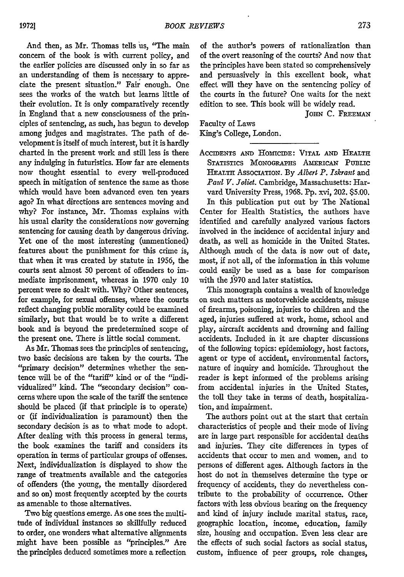And then, as Mr. Thomas tells us, "The main concern of the book is with current policy, and the earlier policies are discussed only in so far as an understanding of them is necessary to appreciate the present situation." Fair enough. One sees the works of the watch but learns little of their evolution. It is only comparatively recently in England that a new consciousness of the principles of sentencing, as such, has begun to develop among judges and magistrates. The path of development is itself of much interest, but it is hardly charted in the present work and still less is there any indulging in futuristics. How far are elements now thought essential to every well-produced speech in mitigation of sentence the same as those which would have been advanced even ten years ago? In what directions are sentences moving and why? For instance, Mr. Thomas explains with his usual clarity the considerations now governing sentencing for causing death by dangerous driving. Yet one of the most interesting (unmentioned) features about the punishment for this crime is, that when it was created by statute in 1956, the courts sent almost 50 percent of offenders to immediate imprisonment, whereas in 1970 only 10 percent were so dealt with. Why? Other sentences, for example, for sexual offenses, where the courts reflect changing public morality could be examined similarly, but that would be to write a different book and is beyond the predetermined scope of the present one. There is little social comment.

As Mr. Thomas sees the principles of sentencing, two basic decisions are taken by the courts. The "primary decision" determines whether the sentence will be of the "tariff" kind or of the "individualized" kind. The "secondary decision" concerns where upon the scale of the tariff the sentence should be placed (if that principle is to operate) or (if individualization is paramount) then the secondary decision is as to what mode to adopt. After dealing with this process in general terms, the book examines the tariff and considers its operation in terms of particular groups of offenses. Next, individualization is displayed to show the range of treatments available and the categories of offenders (the young, the mentally disordered and so on) most frequently accepted by the courts as amenable to those alternatives.

Two big questions emerge. As one sees the multitude of individual instances so skillfully reduced to order, one wonders what alternative alignments might have been possible as "principles." Are the principles deduced sometimes more a reflection of the author's powers of rationalization than of the overt reasoning of the courts? And now that the principles have been stated so comprehensively and persuasively in this excellent book, what effect will they have on the sentencing policy of the courts in the future? One waits for the next edition to see. This book will be widely read.

JOHN C. FREEMAN

Faculty of Laws King's College, London.

ACcIDENTS **AND** HoMIcIDE: VITAL **AND** HEALTH STATISTICS MONOGRAPHS AMERICAN PUBLIC **HEALTH** ASSOCIATION. **By** *Albert P. Iskrant* and *Paid V. Joliet.* Cambridge, Massachusetts: Harvard University Press, 1968. Pp. xvi, 202. \$5.00. In this publication put out **by** The National Center for Health Statistics, the authors have identified and carefully analyzed various factors involved in the incidence of accidental injury and death, as well as homicide in the United States. Although much of the data is now out of date, most, if not all, of the information in this volume could easily be used as a base for comparison with the 1970 and later statistics.

This monograph contains a wealth of knowledge on such matters as motorvehicle accidents, misuse of firearms, poisoning, injuries to children and the aged, injuries suffered at work, home, school and play, aircraft accidents and drowning and falling accidents. Included in it are chapter discussions of the following topics: epidemiology, host factors, agent or type of accident, environmental factors, nature of inquiry and homicide. Throughout the reader is kept informed of the problems arising from accidental injuries in the United States, the toll they take in terms of death, hospitalization, and impairment.

The authors point out at the start that certain characteristics of people and their mode of living are in large part responsible for accidental deaths and injuries. They cite differences in types of accidents that occur to men and women, and to persons of different ages. Although factors in the host do not in themselves determine the type or frequency of accidents, they do nevertheless contribute to the probability of occurrence. Other factors with less obvious bearing on the frequency and kind of injury include marital status, race, geographic location, income, education, family size, housing and occupation. Even less clear are the effects of such social factors as social status, custom, influence of peer groups, role changes,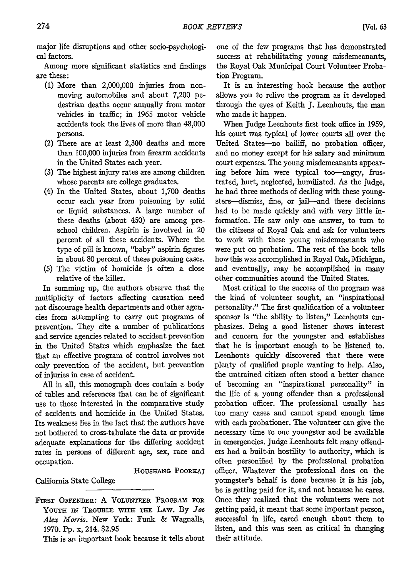major life disruptions and other socio-psychological factors.

Among more significant statistics and findings are these:

- (1) More than 2,000,000 injuries from nonmoving automobiles and about 7,200 pedestrian deaths occur annually from motor vehicles in traffic; in 1965 motor vehicle accidents took the lives of more than 48,000 persons.
- (2) There are at least 2,300 deaths and more than 100,000 injuries from firearm accidents in the United States each year.
- (3) The highest injury rates are among children whose parents are college graduates.
- (4) In the United States, about 1,700 deaths occur each year from poisoning by solid or liquid substances. A large number of these deaths (about 450) are among preschool children. Aspirin is involved in 20 percent of all these accidents. Where the type of pill is known, "baby" aspirin figures in about 80 percent of these poisoning cases.
- (5) The victim of homicide is often a close relative of the killer.

In summing up, the authors observe that the multiplicity of factors affecting causation need not discourage health departments and other agencies from attempting to carry out programs of prevention. They cite a number of publications and service agencies related to accident prevention in the United States which emphasize the fact that an effective program of control involves not only prevention of the accident, but prevention of injuries in case of accident.

All in all, this monograph does contain a body of tables and references that can be of significant use to those interested in the comparative study of accidents and homicide in the United States. Its weakness lies in the fact that the authors have not bothered to cross-tabulate the data or provide adequate explanations for the differing accident rates in persons of different age, sex, race and occupation.

HOUSHANG POORKAJ

California State College

This is an important book because it tells about

one of the few programs that has demonstrated success at rehabilitating young misdemeanants, the Royal Oak Municipal Court Volunteer Probation Program.

It is an interesting book because the author allows you to relive the program as it developed through the eyes of Keith J. Leenhouts, the man who made it happen.

When Judge Leenhouts first took office in 1959, his court was typical of lower courts all over the United States-no bailiff, no probation officer, and no money except for his salary and minimum court expenses. The young misdemeanants appearing before him were typical too-angry, frustrated, hurt, neglected, humiliated. As the judge, he had three methods of dealing with these youngsters-dismiss, fine, or jail-and these decisions had to be made quickly and with very little information. He saw only one answer, to turn to the citizens of Royal Oak and ask for volunteers to work with these young misdemeanants who were put on probation. The rest of the book tells how this was accomplished in Royal Oak, Michigan, and eventually, may be accomplished in many other communities around the United States.

Most critical to the success of the program was the kind of volunteer sought, an "inspirational personality." The first qualification of a volunteer sponsor is "the ability to listen," Leenhouts emphasizes. Being a good listener shows interest and concern for the youngster and establishes that he is important enough to be listened to. Leenhouts quickly discovered that there were plenty of qualified people wanting to help. Also, the untrained citizen often stood a better chance of becoming an "inspirational personality" in the life of a young offender than a professional probation officer. The professional usually has too many cases and cannot spend enough time with each probationer. The volunteer can give the necessary time to one youngster and be available in emergencies. Judge Leenhouts felt many offenders had a built-in hostility to authority, which is often personified by the professional probation officer. Whatever the professional does on the youngster's behalf is done because it is his job, he is getting paid for it, and not because he cares. Once they realized that the volunteers were not getting paid, it meant that some important person, successful in life, cared enough about them to listen, and this was seen as critical in changing their attitude.

FIRST OFFENDER: A **VOLUNTEER** PROGRAM **FOR** YOUTH IN TROUBLE WITH THE LAW. By *Joe Alex Morris.* New York: Funk & Wagnalls, 1970. Pp. x, 214. \$2.95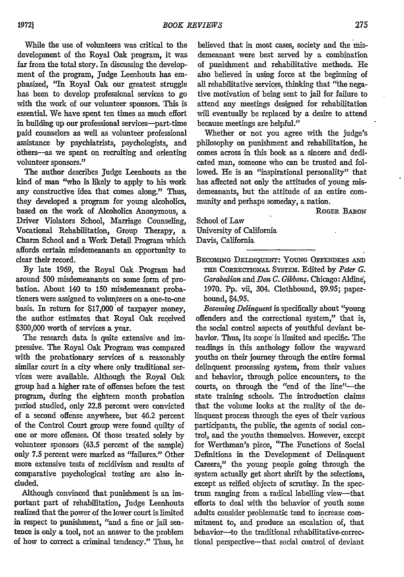While the use of volunteers was critical to the development of the Royal Oak program, it was far from the total story. In discussing the development of the program, Judge Leenhouts has emphasized, 'In Royal Oak our greatest struggle has been to develop professional services to go with the work of our volunteer sponsors. This is essential. We have spent ten times as much effort in building up our professional services-part-time paid counselors as well as volunteer professional assistance **by** psychiatrists, psychologists, and bthers--as we spent on recruiting and orienting volunteer sponsors."

The author describes Judge Leenhouts as the kind of man "who is likely to apply to his work any constructive idea that comes along." Thus, they developed a program for young alcoholics, based on the work of Alcoholics Anonymous, a Driver Violators School, Marriage Counseling, Vocational Rehabilitation, Group Therapy, a Charm School and a Work Detail Program which affords certain misdemeanants an opportunity to clear their record.

By late 1969, the Royal Oak, Program had around 500 misdemeanants on some form of probation. About 140 to 150 misdemeanant probationers were assigned to volunteers on a one-to-one basis. In return for \$17,000'of taxpayer money, the author estimates that Royal Oak received **\$300,000** worth of services a year.

The research data is quite extensive and impressive. The Royal Oak Program was compared with the probationary services of a reasonably similar court in a city where only traditional services were available. Although the Royal Oak group had a higher rate of offenses before the test program, during the eighteen month probation period studied, only 22.8 percent were convicted of a second offense anywhere, but 46.2 percent of the Control Court group were found quilty of one or more offenses. Of those treated solely by volunteer sponsors (43.5 percent of the sample) only 7.5 percent were marked as "failures." Other more extensive tests of recidivism and results of comparative psychological testing are also included.

Although convinced that punishment is an important part of rehabilitation, Judge Leenhouts realized that the power of the lower court is limited in respect to punishment, "and a fine or jail sentence is only a tool, not an answer to the problem of how to correct a criminal tendency." Thus, he

believed that in most cases, society and the misdemeanant were best served by a combination of punishment and rehabilitative methods. He also believed in using force at the beginning of all rehabilitative services, thinking that "the negative motivation of being sent to jail for failure to attend any meetings designed for rehabilitation will eventually be replaced by a desire to attend because meetings are helpful."

Whether or not you agree with the judge's philosophy on punishment and rehabilitation, he comes across in this book as a sincere and dedicated man, someone who can be trusted and followed. He is an "inspirational personality" that has affected not only the attitudes of young misdemeanants, but the attitude of an entire community and perhaps someday, a nation.

ROGER **BARON**

School of Law University of California Davis, California

BECOMiNG **DELINQuENT: YOUNG OFFENDERs AND** THE CORRECTIONAL SYSTEM. Edited by Peter G. *Garabedian and Don C. Gibbons.* Chicago: Aldine, 1970. **Pp.** vii, 304. Clothbound, \$9.95; paperbound, \$4.95.

*Beconing Delinquent* is specifically about "young offenders and the correctional system," that is, the social control aspects of youthful deviant behavior. Thus, its scope is limited and specific. The readings in this anthology follow the wayward youths on their journey through the entire formal delinquent processing system, from their values and behavior, through police encounters, to the courts, on through the "end of the line"-the state training schools. The introduction claims that the volume looks at the reality of the delinquent process through the eyes of their various participants, the public, the agents of social control, and the youths themselves. However, exccpt for Werthman's piece, "The Functions of Social Definitions in the Development of Delinquent Careers," the young people going through the system actually get short shrift by the selections, except as reified objects of scrutiny. In the spectrum ranging from a radical labelling view-that efforts to deal with the behavior of youth some adults consider problematic tend to increase commitment to, and produce an escalation of, that behavior-to the traditional rehabilitative-correctional perspective-that social control of deviant